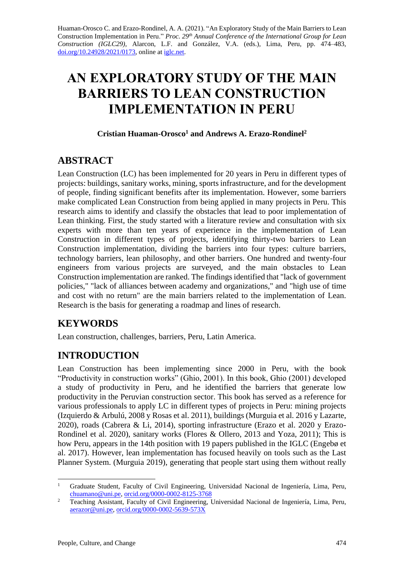Huaman-Orosco C. and Erazo-Rondinel, A. A. (2021). "An Exploratory Study of the Main Barriers to Lean Construction Implementation in Peru." *Proc. 29 th Annual Conference of the International Group for Lean Construction (IGLC29),* Alarcon, L.F. and González, V.A. (eds.)*,* Lima, Peru, pp. 474–483, [doi.org/10.24928/2021/0173,](https://doi.org/10.24928/2021/0173) online a[t iglc.net.](http://iglc.net/)

# **AN EXPLORATORY STUDY OF THE MAIN BARRIERS TO LEAN CONSTRUCTION IMPLEMENTATION IN PERU**

#### **Cristian Huaman-Orosco<sup>1</sup> and Andrews A. Erazo-Rondinel<sup>2</sup>**

## **ABSTRACT**

Lean Construction (LC) has been implemented for 20 years in Peru in different types of projects: buildings, sanitary works, mining, sports infrastructure, and for the development of people, finding significant benefits after its implementation. However, some barriers make complicated Lean Construction from being applied in many projects in Peru. This research aims to identify and classify the obstacles that lead to poor implementation of Lean thinking. First, the study started with a literature review and consultation with six experts with more than ten years of experience in the implementation of Lean Construction in different types of projects, identifying thirty-two barriers to Lean Construction implementation, dividing the barriers into four types: culture barriers, technology barriers, lean philosophy, and other barriers. One hundred and twenty-four engineers from various projects are surveyed, and the main obstacles to Lean Construction implementation are ranked. The findings identified that "lack of government policies," "lack of alliances between academy and organizations," and "high use of time and cost with no return" are the main barriers related to the implementation of Lean. Research is the basis for generating a roadmap and lines of research.

# **KEYWORDS**

Lean construction, challenges, barriers, Peru, Latin America.

# **INTRODUCTION**

Lean Construction has been implementing since 2000 in Peru, with the book "Productivity in construction works" (Ghio, 2001). In this book, Ghio (2001) developed a study of productivity in Peru, and he identified the barriers that generate low productivity in the Peruvian construction sector. This book has served as a reference for various professionals to apply LC in different types of projects in Peru: mining projects (Izquierdo & Arbulú, 2008 y Rosas et al. 2011), buildings (Murguia et al. 2016 y Lazarte, 2020), roads (Cabrera & Li, 2014), sporting infrastructure (Erazo et al. 2020 y Erazo-Rondinel et al. 2020), sanitary works (Flores & Ollero, 2013 and Yoza, 2011); This is how Peru, appears in the 14th position with 19 papers published in the IGLC (Engebø et al. 2017). However, lean implementation has focused heavily on tools such as the Last Planner System. (Murguia 2019), generating that people start using them without really

<sup>&</sup>lt;sup>1</sup> Graduate Student, Faculty of Civil Engineering, Universidad Nacional de Ingeniería, Lima, Peru, [chuamano@uni.pe,](mailto:chuamano@uni.pe) [orcid.org/0000-0002-8125-3768](https://orcid.org/0000-0002-8125-3768)

<sup>&</sup>lt;sup>2</sup> Teaching Assistant, Faculty of Civil Engineering, Universidad Nacional de Ingeniería, Lima, Peru, [aerazor@uni.pe,](mailto:aerazor@uni.pe) [orcid.org/0000-0002-5639-573X](https://orcid.org/0000-0002-5639-573X)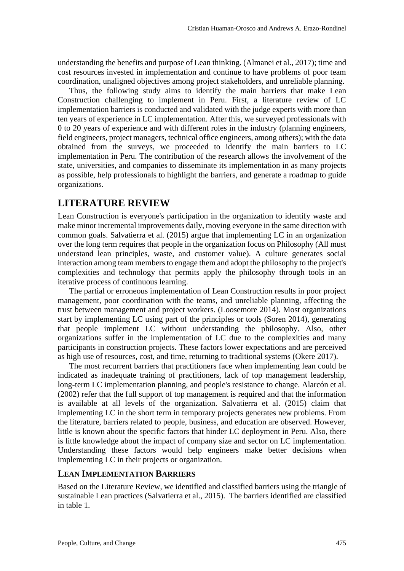understanding the benefits and purpose of Lean thinking. (Almanei et al., 2017); time and cost resources invested in implementation and continue to have problems of poor team coordination, unaligned objectives among project stakeholders, and unreliable planning.

Thus, the following study aims to identify the main barriers that make Lean Construction challenging to implement in Peru. First, a literature review of LC implementation barriers is conducted and validated with the judge experts with more than ten years of experience in LC implementation. After this, we surveyed professionals with 0 to 20 years of experience and with different roles in the industry (planning engineers, field engineers, project managers, technical office engineers, among others); with the data obtained from the surveys, we proceeded to identify the main barriers to LC implementation in Peru. The contribution of the research allows the involvement of the state, universities, and companies to disseminate its implementation in as many projects as possible, help professionals to highlight the barriers, and generate a roadmap to guide organizations.

## **LITERATURE REVIEW**

Lean Construction is everyone's participation in the organization to identify waste and make minor incremental improvements daily, moving everyone in the same direction with common goals. Salvatierra et al. (2015) argue that implementing LC in an organization over the long term requires that people in the organization focus on Philosophy (All must understand lean principles, waste, and customer value). A culture generates social interaction among team members to engage them and adopt the philosophy to the project's complexities and technology that permits apply the philosophy through tools in an iterative process of continuous learning.

The partial or erroneous implementation of Lean Construction results in poor project management, poor coordination with the teams, and unreliable planning, affecting the trust between management and project workers. (Loosemore 2014). Most organizations start by implementing LC using part of the principles or tools (Soren 2014), generating that people implement LC without understanding the philosophy. Also, other organizations suffer in the implementation of LC due to the complexities and many participants in construction projects. These factors lower expectations and are perceived as high use of resources, cost, and time, returning to traditional systems (Okere 2017).

The most recurrent barriers that practitioners face when implementing lean could be indicated as inadequate training of practitioners, lack of top management leadership, long-term LC implementation planning, and people's resistance to change. Alarcón et al. (2002) refer that the full support of top management is required and that the information is available at all levels of the organization. Salvatierra et al. (2015) claim that implementing LC in the short term in temporary projects generates new problems. From the literature, barriers related to people, business, and education are observed. However, little is known about the specific factors that hinder LC deployment in Peru. Also, there is little knowledge about the impact of company size and sector on LC implementation. Understanding these factors would help engineers make better decisions when implementing LC in their projects or organization.

#### **LEAN IMPLEMENTATION BARRIERS**

Based on the Literature Review, we identified and classified barriers using the triangle of sustainable Lean practices (Salvatierra et al., 2015). The barriers identified are classified in table 1.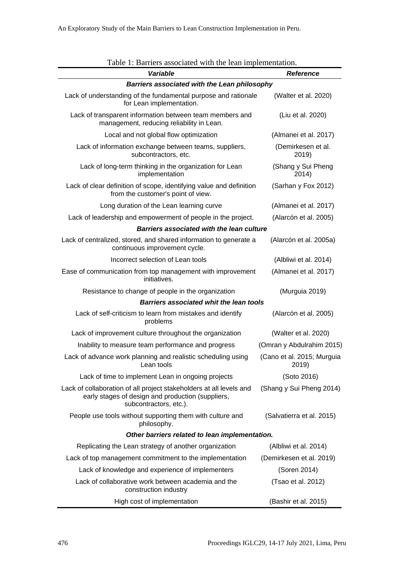| Table 1: Barriers associated with the lean implementation.                                                                                         |                                     |  |  |  |
|----------------------------------------------------------------------------------------------------------------------------------------------------|-------------------------------------|--|--|--|
| <b>Variable</b>                                                                                                                                    | <b>Reference</b>                    |  |  |  |
| Barriers associated with the Lean philosophy                                                                                                       |                                     |  |  |  |
| Lack of understanding of the fundamental purpose and rationale<br>for Lean implementation.                                                         | (Walter et al. 2020)                |  |  |  |
| Lack of transparent information between team members and<br>management, reducing reliability in Lean.                                              | (Liu et al. 2020)                   |  |  |  |
| Local and not global flow optimization                                                                                                             | (Almanei et al. 2017)               |  |  |  |
| Lack of information exchange between teams, suppliers,<br>subcontractors, etc.                                                                     | (Demirkesen et al.<br>2019)         |  |  |  |
| Lack of long-term thinking in the organization for Lean<br>implementation                                                                          | (Shang y Sui Pheng<br>2014)         |  |  |  |
| Lack of clear definition of scope, identifying value and definition<br>from the customer's point of view.                                          | (Sarhan y Fox 2012)                 |  |  |  |
| Long duration of the Lean learning curve                                                                                                           | (Almanei et al. 2017)               |  |  |  |
| Lack of leadership and empowerment of people in the project.                                                                                       | (Alarcón et al. 2005)               |  |  |  |
| <b>Barriers associated with the lean culture</b>                                                                                                   |                                     |  |  |  |
| Lack of centralized, stored, and shared information to generate a<br>continuous improvement cycle.                                                 | (Alarcón et al. 2005a)              |  |  |  |
| Incorrect selection of Lean tools                                                                                                                  | (Albliwi et al. 2014)               |  |  |  |
| Ease of communication from top management with improvement<br>initiatives.                                                                         | (Almanei et al. 2017)               |  |  |  |
| Resistance to change of people in the organization                                                                                                 | (Murguia 2019)                      |  |  |  |
| <b>Barriers associated whit the lean tools</b>                                                                                                     |                                     |  |  |  |
| Lack of self-criticism to learn from mistakes and identify<br>problems                                                                             | (Alarcón et al. 2005)               |  |  |  |
| Lack of improvement culture throughout the organization                                                                                            | (Walter et al. 2020)                |  |  |  |
| Inability to measure team performance and progress                                                                                                 | (Omran y Abdulrahim 2015)           |  |  |  |
| Lack of advance work planning and realistic scheduling using<br>Lean tools                                                                         | (Cano et al. 2015; Murguia<br>2019) |  |  |  |
| Lack of time to implement Lean in ongoing projects                                                                                                 | (Soto 2016)                         |  |  |  |
| Lack of collaboration of all project stakeholders at all levels and<br>early stages of design and production (suppliers,<br>subcontractors, etc.). | (Shang y Sui Pheng 2014)            |  |  |  |
| People use tools without supporting them with culture and<br>philosophy.                                                                           | (Salvatierra et al. 2015)           |  |  |  |
| Other barriers related to lean implementation.                                                                                                     |                                     |  |  |  |
| Replicating the Lean strategy of another organization                                                                                              | (Albliwi et al. 2014)               |  |  |  |
| Lack of top management commitment to the implementation                                                                                            | (Demirkesen et al. 2019)            |  |  |  |
| Lack of knowledge and experience of implementers                                                                                                   | (Soren 2014)                        |  |  |  |
| Lack of collaborative work between academia and the<br>construction industry                                                                       | (Tsao et al. 2012)                  |  |  |  |
| High cost of implementation                                                                                                                        | (Bashir et al. 2015)                |  |  |  |

| Table 1: Barriers associated with the lean implementation. |
|------------------------------------------------------------|
|------------------------------------------------------------|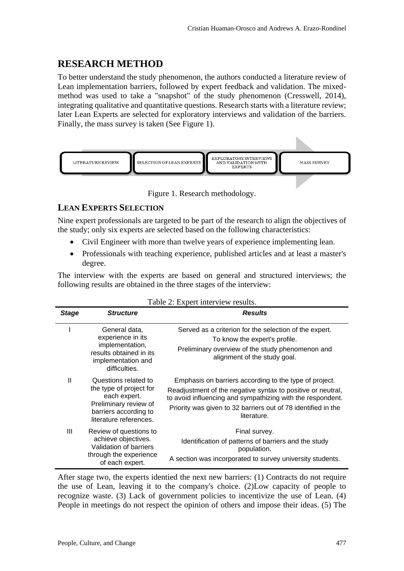## **RESEARCH METHOD**

To better understand the study phenomenon, the authors conducted a literature review of Lean implementation barriers, followed by expert feedback and validation. The mixedmethod was used to take a "snapshot" of the study phenomenon (Cresswell, 2014), integrating qualitative and quantitative questions. Research starts with a literature review; later Lean Experts are selected for exploratory interviews and validation of the barriers. Finally, the mass survey is taken (See Figure 1).



Figure 1. Research methodology.

## **LEAN EXPERTS SELECTION**

Nine expert professionals are targeted to be part of the research to align the objectives of the study; only six experts are selected based on the following characteristics:

- Civil Engineer with more than twelve years of experience implementing lean.
- Professionals with teaching experience, published articles and at least a master's degree.

The interview with the experts are based on general and structured interviews; the following results are obtained in the three stages of the interview:

| <b>Stage</b> | <b>Structure</b>                                                                                                                            | <b>Results</b>                                                                                                                                                                                                                                                      |
|--------------|---------------------------------------------------------------------------------------------------------------------------------------------|---------------------------------------------------------------------------------------------------------------------------------------------------------------------------------------------------------------------------------------------------------------------|
|              | General data,<br>experience in its<br>implementation,<br>results obtained in its<br>implementation and<br>difficulties.                     | Served as a criterion for the selection of the expert.<br>To know the expert's profile.<br>Preliminary overview of the study phenomenon and<br>alignment of the study goal.                                                                                         |
| $\mathbf{I}$ | Questions related to<br>the type of project for<br>each expert.<br>Preliminary review of<br>barriers according to<br>literature references. | Emphasis on barriers according to the type of project.<br>Readjustment of the negative syntax to positive or neutral,<br>to avoid influencing and sympathizing with the respondent.<br>Priority was given to 32 barriers out of 78 identified in the<br>literature. |
| Ш            | Review of questions to<br>achieve objectives.<br>Validation of barriers<br>through the experience<br>of each expert.                        | Final survey.<br>Identification of patterns of barriers and the study<br>population.<br>A section was incorporated to survey university students.                                                                                                                   |

| Table 2: Expert interview results. |  |  |
|------------------------------------|--|--|
|------------------------------------|--|--|

After stage two, the experts identied the next new barriers: (1) Contracts do not require the use of Lean, leaving it to the company's choice. (2)Low capacity of people to recognize waste. (3) Lack of government policies to incentivize the use of Lean. (4) People in meetings do not respect the opinion of others and impose their ideas. (5) The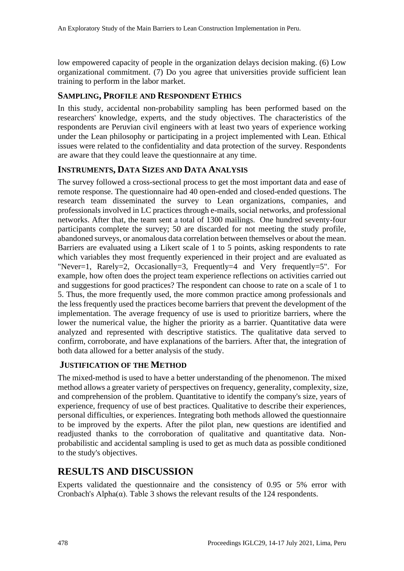low empowered capacity of people in the organization delays decision making. (6) Low organizational commitment. (7) Do you agree that universities provide sufficient lean training to perform in the labor market.

#### **SAMPLING, PROFILE AND RESPONDENT ETHICS**

In this study, accidental non-probability sampling has been performed based on the researchers' knowledge, experts, and the study objectives. The characteristics of the respondents are Peruvian civil engineers with at least two years of experience working under the Lean philosophy or participating in a project implemented with Lean. Ethical issues were related to the confidentiality and data protection of the survey. Respondents are aware that they could leave the questionnaire at any time.

#### **INSTRUMENTS, DATA SIZES AND DATA ANALYSIS**

The survey followed a cross-sectional process to get the most important data and ease of remote response. The questionnaire had 40 open-ended and closed-ended questions. The research team disseminated the survey to Lean organizations, companies, and professionals involved in LC practices through e-mails, social networks, and professional networks. After that, the team sent a total of 1300 mailings. One hundred seventy-four participants complete the survey; 50 are discarded for not meeting the study profile, abandoned surveys, or anomalous data correlation between themselves or about the mean. Barriers are evaluated using a Likert scale of 1 to 5 points, asking respondents to rate which variables they most frequently experienced in their project and are evaluated as "Never=1, Rarely=2, Occasionally=3, Frequently=4 and Very frequently=5". For example, how often does the project team experience reflections on activities carried out and suggestions for good practices? The respondent can choose to rate on a scale of 1 to 5. Thus, the more frequently used, the more common practice among professionals and the less frequently used the practices become barriers that prevent the development of the implementation. The average frequency of use is used to prioritize barriers, where the lower the numerical value, the higher the priority as a barrier. Quantitative data were analyzed and represented with descriptive statistics. The qualitative data served to confirm, corroborate, and have explanations of the barriers. After that, the integration of both data allowed for a better analysis of the study.

#### **JUSTIFICATION OF THE METHOD**

The mixed-method is used to have a better understanding of the phenomenon. The mixed method allows a greater variety of perspectives on frequency, generality, complexity, size, and comprehension of the problem. Quantitative to identify the company's size, years of experience, frequency of use of best practices. Qualitative to describe their experiences, personal difficulties, or experiences. Integrating both methods allowed the questionnaire to be improved by the experts. After the pilot plan, new questions are identified and readjusted thanks to the corroboration of qualitative and quantitative data. Nonprobabilistic and accidental sampling is used to get as much data as possible conditioned to the study's objectives.

# **RESULTS AND DISCUSSION**

Experts validated the questionnaire and the consistency of 0.95 or 5% error with Cronbach's Alpha( $\alpha$ ). Table 3 shows the relevant results of the 124 respondents.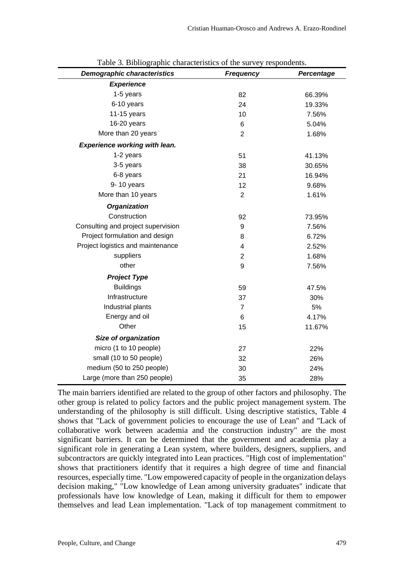| <b>Demographic characteristics</b> | <b>Frequency</b> | Percentage |
|------------------------------------|------------------|------------|
| <b>Experience</b>                  |                  |            |
| 1-5 years                          | 82               | 66.39%     |
| 6-10 years                         | 24               | 19.33%     |
| $11-15$ years                      | 10               | 7.56%      |
| 16-20 years                        | 6                | 5.04%      |
| More than 20 years                 | $\overline{2}$   | 1.68%      |
| Experience working with lean.      |                  |            |
| 1-2 years                          | 51               | 41.13%     |
| 3-5 years                          | 38               | 30.65%     |
| 6-8 years                          | 21               | 16.94%     |
| 9-10 years                         | 12               | 9.68%      |
| More than 10 years                 | $\overline{2}$   | 1.61%      |
| <b>Organization</b>                |                  |            |
| Construction                       | 92               | 73.95%     |
| Consulting and project supervision | 9                | 7.56%      |
| Project formulation and design     | 8                | 6.72%      |
| Project logistics and maintenance  | 4                | 2.52%      |
| suppliers                          | $\overline{2}$   | 1.68%      |
| other                              | 9                | 7.56%      |
| <b>Project Type</b>                |                  |            |
| <b>Buildings</b>                   | 59               | 47.5%      |
| Infrastructure                     | 37               | 30%        |
| Industrial plants                  | $\overline{7}$   | 5%         |
| Energy and oil                     | 6                | 4.17%      |
| Other                              | 15               | 11.67%     |
| Size of organization               |                  |            |
| micro (1 to 10 people)             | 27               | 22%        |
| small (10 to 50 people)            | 32               | 26%        |
| medium (50 to 250 people)          | 30               | 24%        |
| Large (more than 250 people)       | 35               | 28%        |

Table 3. Bibliographic characteristics of the survey respondents.

The main barriers identified are related to the group of other factors and philosophy. The other group is related to policy factors and the public project management system. The understanding of the philosophy is still difficult. Using descriptive statistics, Table 4 shows that "Lack of government policies to encourage the use of Lean" and "Lack of collaborative work between academia and the construction industry" are the most significant barriers. It can be determined that the government and academia play a significant role in generating a Lean system, where builders, designers, suppliers, and subcontractors are quickly integrated into Lean practices. "High cost of implementation" shows that practitioners identify that it requires a high degree of time and financial resources, especially time. "Low empowered capacity of people in the organization delays decision making," "Low knowledge of Lean among university graduates" indicate that professionals have low knowledge of Lean, making it difficult for them to empower themselves and lead Lean implementation. "Lack of top management commitment to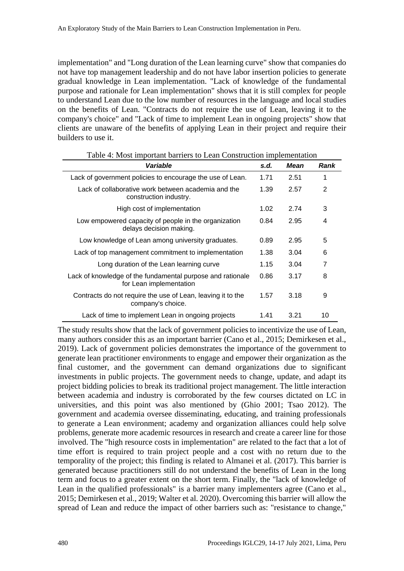implementation" and "Long duration of the Lean learning curve" show that companies do not have top management leadership and do not have labor insertion policies to generate gradual knowledge in Lean implementation. "Lack of knowledge of the fundamental purpose and rationale for Lean implementation" shows that it is still complex for people to understand Lean due to the low number of resources in the language and local studies on the benefits of Lean. "Contracts do not require the use of Lean, leaving it to the company's choice" and "Lack of time to implement Lean in ongoing projects" show that clients are unaware of the benefits of applying Lean in their project and require their builders to use it.

| Variable                                                                              | s.d. | <b>Mean</b> | <b>Rank</b> |
|---------------------------------------------------------------------------------------|------|-------------|-------------|
| Lack of government policies to encourage the use of Lean.                             | 1.71 | 2.51        | 1           |
| Lack of collaborative work between academia and the<br>construction industry.         | 1.39 | 2.57        | 2           |
| High cost of implementation                                                           | 1.02 | 2.74        | 3           |
| Low empowered capacity of people in the organization<br>delays decision making.       | 0.84 | 2.95        | 4           |
| Low knowledge of Lean among university graduates.                                     | 0.89 | 2.95        | 5           |
| Lack of top management commitment to implementation                                   | 1.38 | 3.04        | 6           |
| Long duration of the Lean learning curve                                              | 1.15 | 3.04        | 7           |
| Lack of knowledge of the fundamental purpose and rationale<br>for Lean implementation | 0.86 | 3.17        | 8           |
| Contracts do not require the use of Lean, leaving it to the<br>company's choice.      | 1.57 | 3.18        | 9           |
| Lack of time to implement Lean in ongoing projects                                    | 1.41 | 3.21        | 10          |

Table 4: Most important barriers to Lean Construction implementation

The study results show that the lack of government policies to incentivize the use of Lean, many authors consider this as an important barrier (Cano et al., 2015; Demirkesen et al., 2019). Lack of government policies demonstrates the importance of the government to generate lean practitioner environments to engage and empower their organization as the final customer, and the government can demand organizations due to significant investments in public projects. The government needs to change, update, and adapt its project bidding policies to break its traditional project management. The little interaction between academia and industry is corroborated by the few courses dictated on LC in universities, and this point was also mentioned by (Ghio 2001; Tsao 2012). The government and academia oversee disseminating, educating, and training professionals to generate a Lean environment; academy and organization alliances could help solve problems, generate more academic resources in research and create a career line for those involved. The "high resource costs in implementation" are related to the fact that a lot of time effort is required to train project people and a cost with no return due to the temporality of the project; this finding is related to Almanei et al. (2017). This barrier is generated because practitioners still do not understand the benefits of Lean in the long term and focus to a greater extent on the short term. Finally, the "lack of knowledge of Lean in the qualified professionals" is a barrier many implementers agree (Cano et al., 2015; Demirkesen et al., 2019; Walter et al. 2020). Overcoming this barrier will allow the spread of Lean and reduce the impact of other barriers such as: "resistance to change,"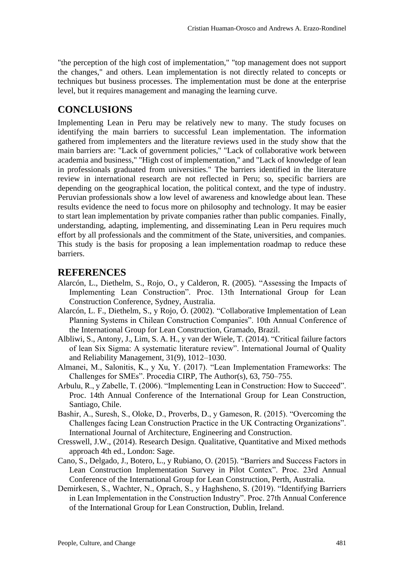"the perception of the high cost of implementation," "top management does not support the changes," and others. Lean implementation is not directly related to concepts or techniques but business processes. The implementation must be done at the enterprise level, but it requires management and managing the learning curve.

## **CONCLUSIONS**

Implementing Lean in Peru may be relatively new to many. The study focuses on identifying the main barriers to successful Lean implementation. The information gathered from implementers and the literature reviews used in the study show that the main barriers are: "Lack of government policies," "Lack of collaborative work between academia and business," "High cost of implementation," and "Lack of knowledge of lean in professionals graduated from universities." The barriers identified in the literature review in international research are not reflected in Peru; so, specific barriers are depending on the geographical location, the political context, and the type of industry. Peruvian professionals show a low level of awareness and knowledge about lean. These results evidence the need to focus more on philosophy and technology. It may be easier to start lean implementation by private companies rather than public companies. Finally, understanding, adapting, implementing, and disseminating Lean in Peru requires much effort by all professionals and the commitment of the State, universities, and companies. This study is the basis for proposing a lean implementation roadmap to reduce these barriers.

## **REFERENCES**

- Alarcón, L., Diethelm, S., Rojo, O., y Calderon, R. (2005). "Assessing the Impacts of Implementing Lean Construction". Proc. 13th International Group for Lean Construction Conference, Sydney, Australia.
- Alarcón, L. F., Diethelm, S., y Rojo, Ó. (2002). "Collaborative Implementation of Lean Planning Systems in Chilean Construction Companies". 10th Annual Conference of the International Group for Lean Construction, Gramado, Brazil.
- Albliwi, S., Antony, J., Lim, S. A. H., y van der Wiele, T. (2014). "Critical failure factors of lean Six Sigma: A systematic literature review". International Journal of Quality and Reliability Management, 31(9), 1012–1030.
- Almanei, M., Salonitis, K., y Xu, Y. (2017). "Lean Implementation Frameworks: The Challenges for SMEs". Procedia CIRP, The Author(s), 63, 750–755.
- Arbulu, R., y Zabelle, T. (2006). "Implementing Lean in Construction: How to Succeed". Proc. 14th Annual Conference of the International Group for Lean Construction, Santiago, Chile.
- Bashir, A., Suresh, S., Oloke, D., Proverbs, D., y Gameson, R. (2015). "Overcoming the Challenges facing Lean Construction Practice in the UK Contracting Organizations". International Journal of Architecture, Engineering and Construction.
- Cresswell, J.W., (2014). Research Design. Qualitative, Quantitative and Mixed methods approach 4th ed., London: Sage.
- Cano, S., Delgado, J., Botero, L., y Rubiano, O. (2015). "Barriers and Success Factors in Lean Construction Implementation Survey in Pilot Contex". Proc. 23rd Annual Conference of the International Group for Lean Construction, Perth, Australia.
- Demirkesen, S., Wachter, N., Oprach, S., y Haghsheno, S. (2019). "Identifying Barriers in Lean Implementation in the Construction Industry". Proc. 27th Annual Conference of the International Group for Lean Construction, Dublin, Ireland.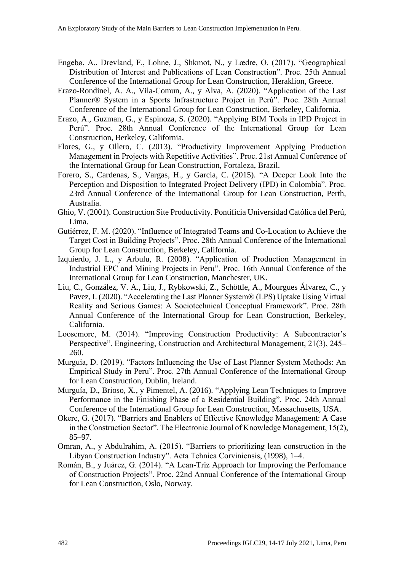- Engebø, A., Drevland, F., Lohne, J., Shkmot, N., y Lædre, O. (2017). "Geographical Distribution of Interest and Publications of Lean Construction". Proc. 25th Annual Conference of the International Group for Lean Construction, Heraklion, Greece.
- Erazo-Rondinel, A. A., Vila-Comun, A., y Alva, A. (2020). "Application of the Last Planner® System in a Sports Infrastructure Project in Perú". Proc. 28th Annual Conference of the International Group for Lean Construction, Berkeley, California.
- Erazo, A., Guzman, G., y Espinoza, S. (2020). "Applying BIM Tools in IPD Project in Perú". Proc. 28th Annual Conference of the International Group for Lean Construction, Berkeley, California.
- Flores, G., y Ollero, C. (2013). "Productivity Improvement Applying Production Management in Projects with Repetitive Activities". Proc. 21st Annual Conference of the International Group for Lean Construction, Fortaleza, Brazil.
- Forero, S., Cardenas, S., Vargas, H., y Garcia, C. (2015). "A Deeper Look Into the Perception and Disposition to Integrated Project Delivery (IPD) in Colombia". Proc. 23rd Annual Conference of the International Group for Lean Construction, Perth, Australia.
- Ghio, V. (2001). Construction Site Productivity. Pontificia Universidad Católica del Perú, Lima.
- Gutiérrez, F. M. (2020). "Influence of Integrated Teams and Co-Location to Achieve the Target Cost in Building Projects". Proc. 28th Annual Conference of the International Group for Lean Construction, Berkeley, California.
- Izquierdo, J. L., y Arbulu, R. (2008). "Application of Production Management in Industrial EPC and Mining Projects in Peru". Proc. 16th Annual Conference of the International Group for Lean Construction, Manchester, UK.
- Liu, C., González, V. A., Liu, J., Rybkowski, Z., Schöttle, A., Mourgues Álvarez, C., y Pavez, I. (2020). "Accelerating the Last Planner System® (LPS) Uptake Using Virtual Reality and Serious Games: A Sociotechnical Conceptual Framework". Proc. 28th Annual Conference of the International Group for Lean Construction, Berkeley, California.
- Loosemore, M. (2014). "Improving Construction Productivity: A Subcontractor's Perspective". Engineering, Construction and Architectural Management, 21(3), 245– 260.
- Murguia, D. (2019). "Factors Influencing the Use of Last Planner System Methods: An Empirical Study in Peru". Proc. 27th Annual Conference of the International Group for Lean Construction, Dublin, Ireland.
- Murguía, D., Brioso, X., y Pimentel, A. (2016). "Applying Lean Techniques to Improve Performance in the Finishing Phase of a Residential Building". Proc. 24th Annual Conference of the International Group for Lean Construction, Massachusetts, USA.
- Okere, G. (2017). "Barriers and Enablers of Effective Knowledge Management: A Case in the Construction Sector". The Electronic Journal of Knowledge Management, 15(2), 85–97.
- Omran, A., y Abdulrahim, A. (2015). "Barriers to prioritizing lean construction in the Libyan Construction Industry". Acta Tehnica Corviniensis, (1998), 1–4.
- Román, B., y Juárez, G. (2014). "A Lean-Triz Approach for Improving the Perfomance of Construction Projects". Proc. 22nd Annual Conference of the International Group for Lean Construction, Oslo, Norway.